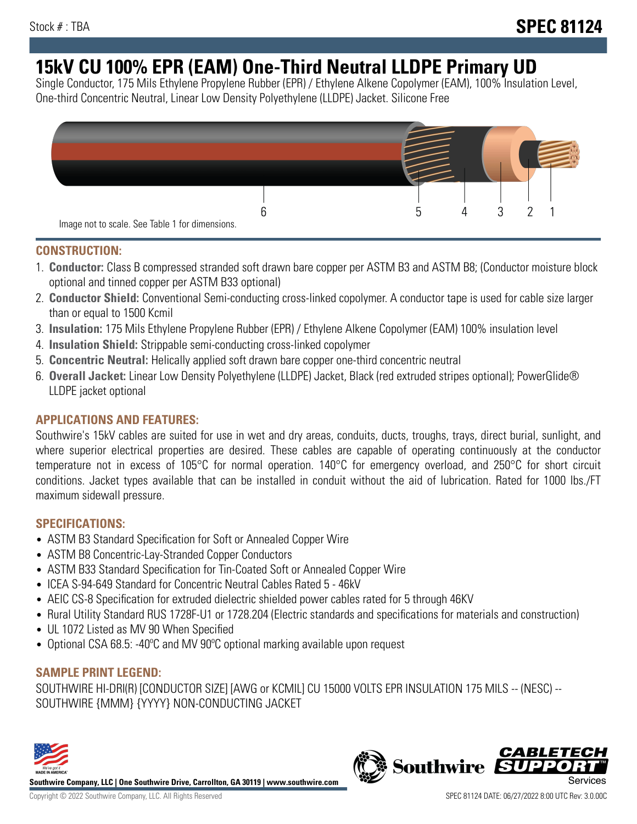# **15kV CU 100% EPR (EAM) One-Third Neutral LLDPE Primary UD**

Single Conductor, 175 Mils Ethylene Propylene Rubber (EPR) / Ethylene Alkene Copolymer (EAM), 100% Insulation Level, One-third Concentric Neutral, Linear Low Density Polyethylene (LLDPE) Jacket. Silicone Free



### **CONSTRUCTION:**

- 1. **Conductor:** Class B compressed stranded soft drawn bare copper per ASTM B3 and ASTM B8; (Conductor moisture block optional and tinned copper per ASTM B33 optional)
- 2. **Conductor Shield:** Conventional Semi-conducting cross-linked copolymer. A conductor tape is used for cable size larger than or equal to 1500 Kcmil
- 3. **Insulation:** 175 Mils Ethylene Propylene Rubber (EPR) / Ethylene Alkene Copolymer (EAM) 100% insulation level
- 4. **Insulation Shield:** Strippable semi-conducting cross-linked copolymer
- 5. **Concentric Neutral:** Helically applied soft drawn bare copper one-third concentric neutral
- 6. **Overall Jacket:** Linear Low Density Polyethylene (LLDPE) Jacket, Black (red extruded stripes optional); PowerGlide® LLDPE jacket optional

### **APPLICATIONS AND FEATURES:**

Southwire's 15kV cables are suited for use in wet and dry areas, conduits, ducts, troughs, trays, direct burial, sunlight, and where superior electrical properties are desired. These cables are capable of operating continuously at the conductor temperature not in excess of 105°C for normal operation. 140°C for emergency overload, and 250°C for short circuit conditions. Jacket types available that can be installed in conduit without the aid of lubrication. Rated for 1000 lbs./FT maximum sidewall pressure.

### **SPECIFICATIONS:**

- ASTM B3 Standard Specification for Soft or Annealed Copper Wire
- ASTM B8 Concentric-Lay-Stranded Copper Conductors
- ASTM B33 Standard Specification for Tin-Coated Soft or Annealed Copper Wire
- ICEA S-94-649 Standard for Concentric Neutral Cables Rated 5 46kV
- AEIC CS-8 Specification for extruded dielectric shielded power cables rated for 5 through 46KV
- Rural Utility Standard RUS 1728F-U1 or 1728.204 (Electric standards and specifications for materials and construction)
- UL 1072 Listed as MV 90 When Specified
- Optional CSA 68.5: -40°C and MV 90°C optional marking available upon request

## **SAMPLE PRINT LEGEND:**

SOUTHWIRE HI-DRI(R) [CONDUCTOR SIZE] [AWG or KCMIL] CU 15000 VOLTS EPR INSULATION 175 MILS -- (NESC) -- SOUTHWIRE {MMM} {YYYY} NON-CONDUCTING JACKET



**Southwire Company, LLC | One Southwire Drive, Carrollton, GA 30119 | www.southwire.com**